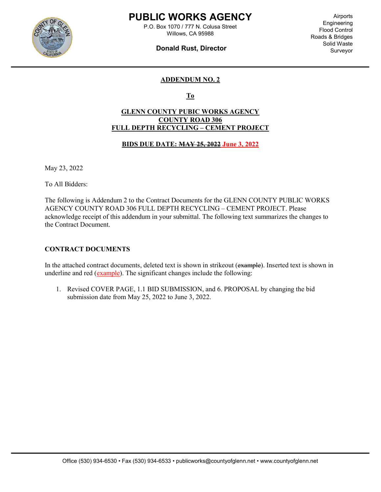

l

### PUBLIC WORKS AGENCY

P.O. Box 1070 / 777 N. Colusa Street Willows, CA 95988

### Donald Rust, Director

Airports Engineering Flood Control Roads & Bridges Solid Waste Surveyor

### ADDENDUM NO. 2

To

### GLENN COUNTY PUBIC WORKS AGENCY COUNTY ROAD 306 FULL DEPTH RECYCLING – CEMENT PROJECT

#### BIDS DUE DATE: MAY 25, 2022 June 3, 2022

May 23, 2022

To All Bidders:

The following is Addendum 2 to the Contract Documents for the GLENN COUNTY PUBLIC WORKS AGENCY COUNTY ROAD 306 FULL DEPTH RECYCLING – CEMENT PROJECT. Please acknowledge receipt of this addendum in your submittal. The following text summarizes the changes to the Contract Document.

#### CONTRACT DOCUMENTS

In the attached contract documents, deleted text is shown in strikeout (example). Inserted text is shown in underline and red (example). The significant changes include the following:

1. Revised COVER PAGE, 1.1 BID SUBMISSION, and 6. PROPOSAL by changing the bid submission date from May 25, 2022 to June 3, 2022.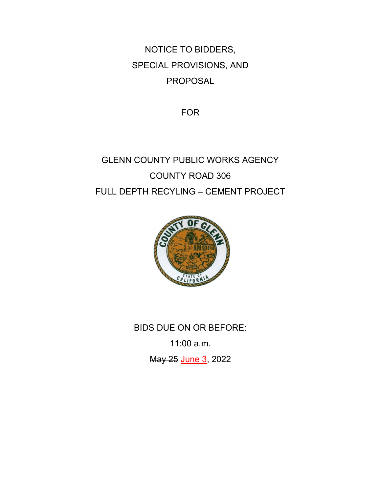NOTICE TO BIDDERS, SPECIAL PROVISIONS, AND PROPOSAL

FOR

# GLENN COUNTY PUBLIC WORKS AGENCY COUNTY ROAD 306 FULL DEPTH RECYLING – CEMENT PROJECT



BIDS DUE ON OR BEFORE: 11:00 a.m.

May 25 June 3, 2022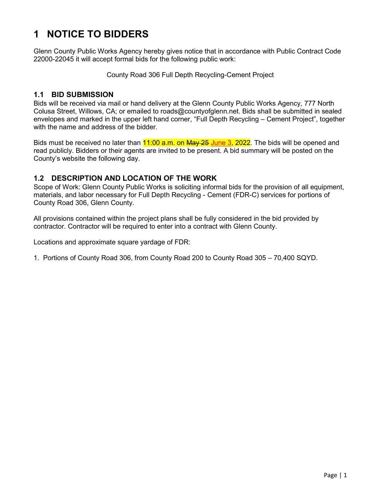## 1 NOTICE TO BIDDERS

Glenn County Public Works Agency hereby gives notice that in accordance with Public Contract Code 22000-22045 it will accept formal bids for the following public work:

County Road 306 Full Depth Recycling-Cement Project

### 1.1 BID SUBMISSION

Bids will be received via mail or hand delivery at the Glenn County Public Works Agency, 777 North Colusa Street, Willows, CA; or emailed to roads@countyofglenn.net. Bids shall be submitted in sealed envelopes and marked in the upper left hand corner, "Full Depth Recycling – Cement Project", together with the name and address of the bidder.

Bids must be received no later than **11:00 a.m. on May 25 June 3, 2022**. The bids will be opened and read publicly. Bidders or their agents are invited to be present. A bid summary will be posted on the County's website the following day.

### 1.2 DESCRIPTION AND LOCATION OF THE WORK

Scope of Work: Glenn County Public Works is soliciting informal bids for the provision of all equipment, materials, and labor necessary for Full Depth Recycling - Cement (FDR-C) services for portions of County Road 306, Glenn County.

All provisions contained within the project plans shall be fully considered in the bid provided by contractor. Contractor will be required to enter into a contract with Glenn County.

Locations and approximate square yardage of FDR:

1. Portions of County Road 306, from County Road 200 to County Road 305 – 70,400 SQYD.